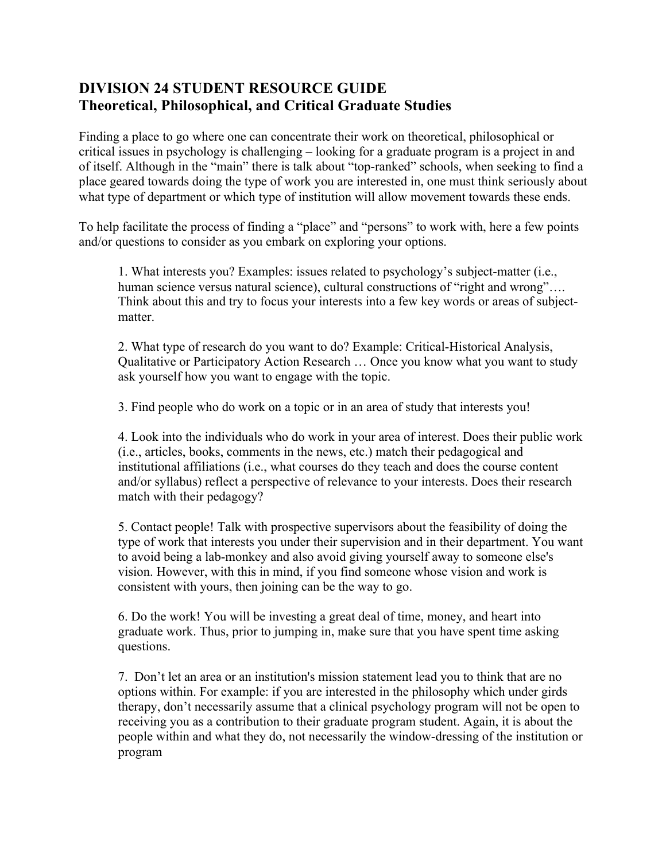# **DIVISION 24 STUDENT RESOURCE GUIDE Theoretical, Philosophical, and Critical Graduate Studies**

Finding a place to go where one can concentrate their work on theoretical, philosophical or critical issues in psychology is challenging – looking for a graduate program is a project in and of itself. Although in the "main" there is talk about "top-ranked" schools, when seeking to find a place geared towards doing the type of work you are interested in, one must think seriously about what type of department or which type of institution will allow movement towards these ends.

To help facilitate the process of finding a "place" and "persons" to work with, here a few points and/or questions to consider as you embark on exploring your options.

1. What interests you? Examples: issues related to psychology's subject-matter (i.e., human science versus natural science), cultural constructions of "right and wrong".... Think about this and try to focus your interests into a few key words or areas of subjectmatter.

2. What type of research do you want to do? Example: Critical-Historical Analysis, Qualitative or Participatory Action Research … Once you know what you want to study ask yourself how you want to engage with the topic.

3. Find people who do work on a topic or in an area of study that interests you!

4. Look into the individuals who do work in your area of interest. Does their public work (i.e., articles, books, comments in the news, etc.) match their pedagogical and institutional affiliations (i.e., what courses do they teach and does the course content and/or syllabus) reflect a perspective of relevance to your interests. Does their research match with their pedagogy?

5. Contact people! Talk with prospective supervisors about the feasibility of doing the type of work that interests you under their supervision and in their department. You want to avoid being a lab-monkey and also avoid giving yourself away to someone else's vision. However, with this in mind, if you find someone whose vision and work is consistent with yours, then joining can be the way to go.

6. Do the work! You will be investing a great deal of time, money, and heart into graduate work. Thus, prior to jumping in, make sure that you have spent time asking questions.

7. Don't let an area or an institution's mission statement lead you to think that are no options within. For example: if you are interested in the philosophy which under girds therapy, don't necessarily assume that a clinical psychology program will not be open to receiving you as a contribution to their graduate program student. Again, it is about the people within and what they do, not necessarily the window-dressing of the institution or program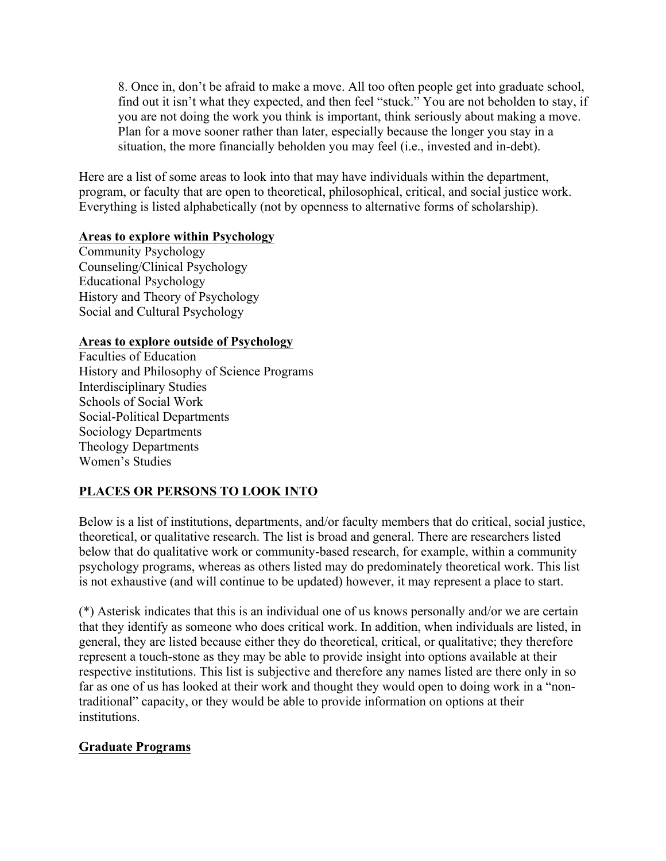8. Once in, don't be afraid to make a move. All too often people get into graduate school, find out it isn't what they expected, and then feel "stuck." You are not beholden to stay, if you are not doing the work you think is important, think seriously about making a move. Plan for a move sooner rather than later, especially because the longer you stay in a situation, the more financially beholden you may feel (i.e., invested and in-debt).

Here are a list of some areas to look into that may have individuals within the department, program, or faculty that are open to theoretical, philosophical, critical, and social justice work. Everything is listed alphabetically (not by openness to alternative forms of scholarship).

## **Areas to explore within Psychology**

Community Psychology Counseling/Clinical Psychology Educational Psychology History and Theory of Psychology Social and Cultural Psychology

## **Areas to explore outside of Psychology**

Faculties of Education History and Philosophy of Science Programs Interdisciplinary Studies Schools of Social Work Social-Political Departments Sociology Departments Theology Departments Women's Studies

# **PLACES OR PERSONS TO LOOK INTO**

Below is a list of institutions, departments, and/or faculty members that do critical, social justice, theoretical, or qualitative research. The list is broad and general. There are researchers listed below that do qualitative work or community-based research, for example, within a community psychology programs, whereas as others listed may do predominately theoretical work. This list is not exhaustive (and will continue to be updated) however, it may represent a place to start.

(\*) Asterisk indicates that this is an individual one of us knows personally and/or we are certain that they identify as someone who does critical work. In addition, when individuals are listed, in general, they are listed because either they do theoretical, critical, or qualitative; they therefore represent a touch-stone as they may be able to provide insight into options available at their respective institutions. This list is subjective and therefore any names listed are there only in so far as one of us has looked at their work and thought they would open to doing work in a "nontraditional" capacity, or they would be able to provide information on options at their institutions.

# **Graduate Programs**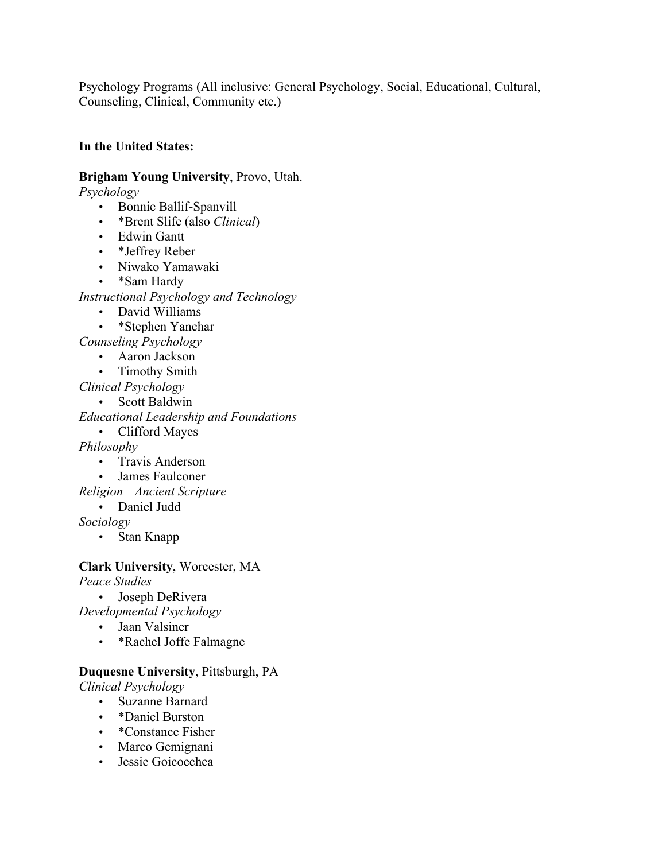Psychology Programs (All inclusive: General Psychology, Social, Educational, Cultural, Counseling, Clinical, Community etc.)

## **In the United States:**

**Brigham Young University**, Provo, Utah.

*Psychology*

- Bonnie Ballif-Spanvill
- \*Brent Slife (also *Clinical*)
- Edwin Gantt
- \*Jeffrey Reber
- Niwako Yamawaki
- \*Sam Hardy

*Instructional Psychology and Technology*

- David Williams
- \*Stephen Yanchar

*Counseling Psychology*

- Aaron Jackson
- Timothy Smith

*Clinical Psychology*

- Scott Baldwin *Educational Leadership and Foundations*
	- Clifford Mayes

*Philosophy*

- Travis Anderson
- James Faulconer

*Religion—Ancient Scripture* 

• Daniel Judd

*Sociology*

• Stan Knapp

### **Clark University**, Worcester, MA *Peace Studies*

• Joseph DeRivera

*Developmental Psychology*

- Jaan Valsiner
- \*Rachel Joffe Falmagne

# **Duquesne University**, Pittsburgh, PA

*Clinical Psychology*

- Suzanne Barnard
- \*Daniel Burston
- \*Constance Fisher
- Marco Gemignani
- Jessie Goicoechea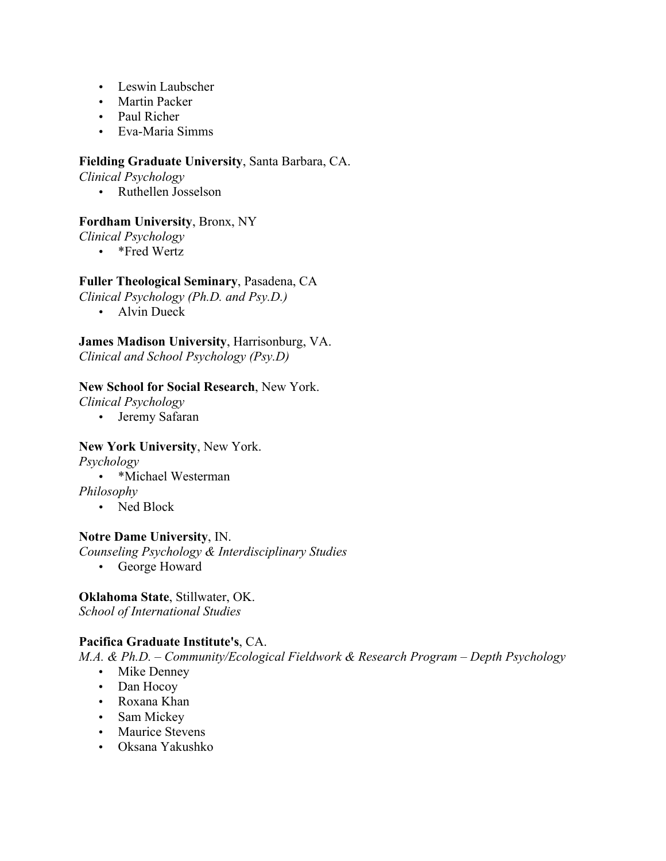- Leswin Laubscher
- Martin Packer
- Paul Richer
- Eva-Maria Simms

### **Fielding Graduate University**, Santa Barbara, CA.

*Clinical Psychology*

• Ruthellen Josselson

## **Fordham University**, Bronx, NY

*Clinical Psychology*

• \*Fred Wertz

### **Fuller Theological Seminary**, Pasadena, CA

*Clinical Psychology (Ph.D. and Psy.D.)*

• Alvin Dueck

**James Madison University**, Harrisonburg, VA. *Clinical and School Psychology (Psy.D)*

### **New School for Social Research**, New York.

*Clinical Psychology*

• Jeremy Safaran

## **New York University**, New York.

*Psychology*

• \*Michael Westerman

*Philosophy*

• Ned Block

## **Notre Dame University**, IN.

*Counseling Psychology & Interdisciplinary Studies*

• George Howard

## **Oklahoma State**, Stillwater, OK.

*School of International Studies*

## **Pacifica Graduate Institute's**, CA.

*M.A. & Ph.D. – Community/Ecological Fieldwork & Research Program – Depth Psychology*

- Mike Denney
- Dan Hocoy
- Roxana Khan
- Sam Mickey
- Maurice Stevens
- Oksana Yakushko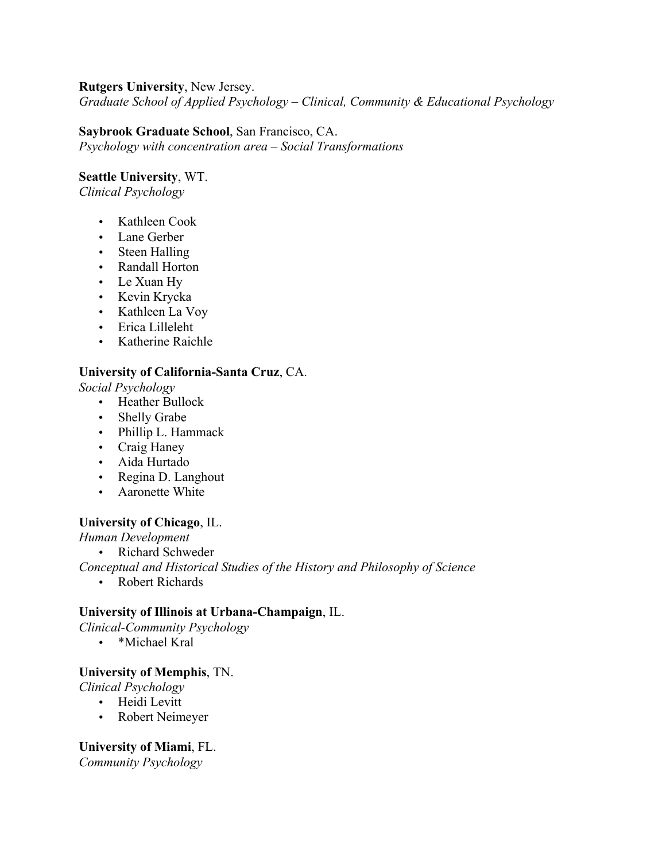### **Rutgers University**, New Jersey.

*Graduate School of Applied Psychology – Clinical, Community & Educational Psychology* 

## **Saybrook Graduate School**, San Francisco, CA.

*Psychology with concentration area – Social Transformations*

### **Seattle University**, WT.

*Clinical Psychology*

- Kathleen Cook
- Lane Gerber
- Steen Halling
- Randall Horton
- Le Xuan Hy
- Kevin Krycka
- Kathleen La Voy
- Erica Lilleleht
- Katherine Raichle

## **University of California-Santa Cruz**, CA.

*Social Psychology*

- Heather Bullock
- Shelly Grabe
- Phillip L. Hammack
- Craig Haney
- Aida Hurtado
- Regina D. Langhout
- Aaronette White

### **University of Chicago**, IL.

*Human Development*

• Richard Schweder

*Conceptual and Historical Studies of the History and Philosophy of Science* 

• Robert Richards

## **University of Illinois at Urbana-Champaign**, IL.

*Clinical-Community Psychology*

• \*Michael Kral

## **University of Memphis**, TN.

*Clinical Psychology*

- Heidi Levitt
- Robert Neimeyer

## **University of Miami**, FL.

*Community Psychology*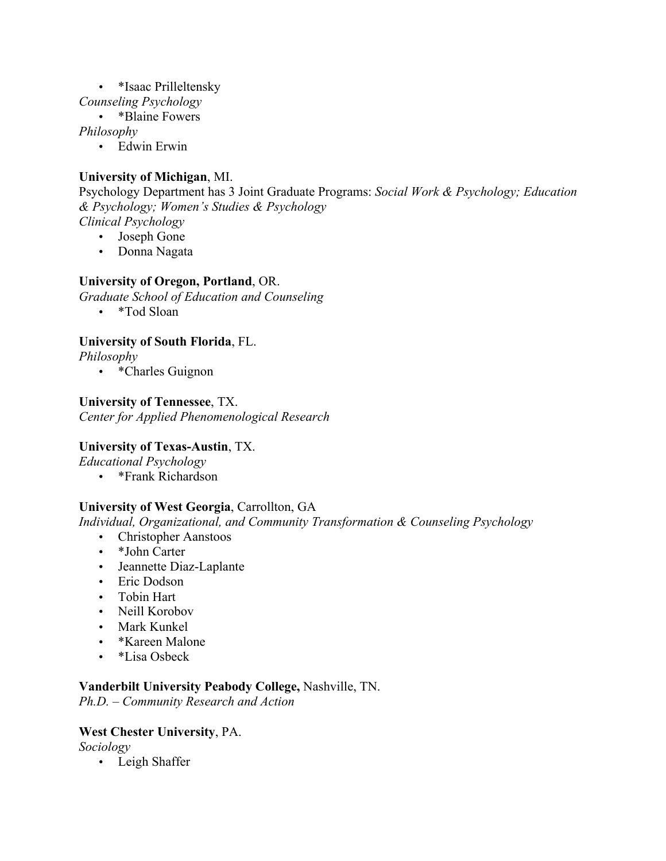### • \*Isaac Prilleltensky

*Counseling Psychology*

• \*Blaine Fowers

*Philosophy*

• Edwin Erwin

## **University of Michigan**, MI.

Psychology Department has 3 Joint Graduate Programs: *Social Work & Psychology; Education & Psychology; Women's Studies & Psychology Clinical Psychology*

• Joseph Gone

• Donna Nagata

## **University of Oregon, Portland**, OR.

*Graduate School of Education and Counseling*

• \*Tod Sloan

## **University of South Florida**, FL.

*Philosophy*

• \*Charles Guignon

## **University of Tennessee**, TX.

*Center for Applied Phenomenological Research*

## **University of Texas-Austin**, TX.

*Educational Psychology*

• \*Frank Richardson

## **University of West Georgia**, Carrollton, GA

*Individual, Organizational, and Community Transformation & Counseling Psychology*

- Christopher Aanstoos
- \*John Carter
- Jeannette Diaz-Laplante
- Eric Dodson
- Tobin Hart
- Neill Korobov
- Mark Kunkel
- \*Kareen Malone
- \*Lisa Osbeck

## **Vanderbilt University Peabody College,** Nashville, TN.

*Ph.D. – Community Research and Action*

## **West Chester University**, PA.

*Sociology*

• Leigh Shaffer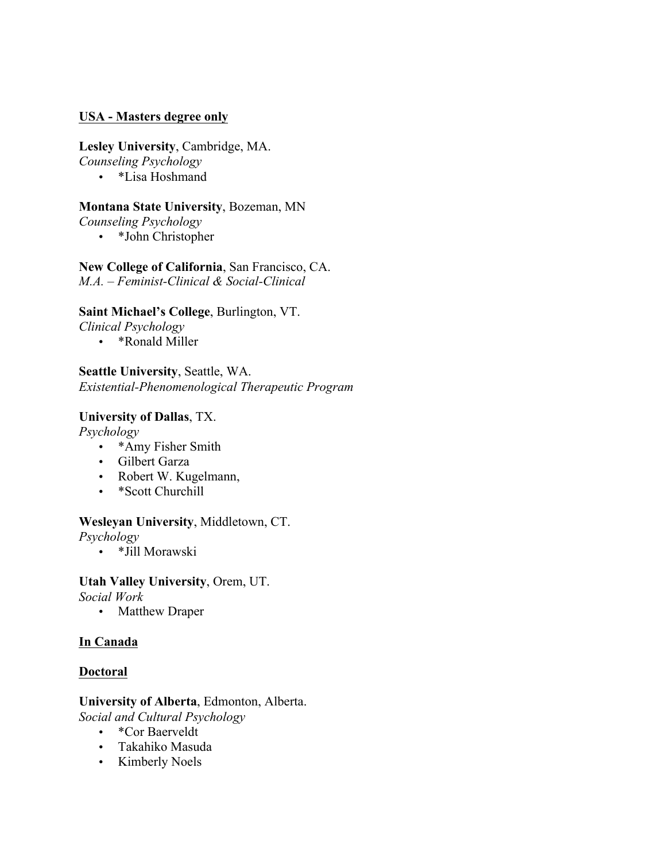### **USA - Masters degree only**

### **Lesley University**, Cambridge, MA.

*Counseling Psychology*

• \*Lisa Hoshmand

### **Montana State University**, Bozeman, MN

*Counseling Psychology*

• \*John Christopher

# **New College of California**, San Francisco, CA.

*M.A. – Feminist-Clinical & Social-Clinical*

### **Saint Michael's College**, Burlington, VT.

*Clinical Psychology*

• \*Ronald Miller

**Seattle University**, Seattle, WA. *Existential-Phenomenological Therapeutic Program* 

### **University of Dallas**, TX.

*Psychology*

- \* Amy Fisher Smith
- Gilbert Garza
- Robert W. Kugelmann,
- \*Scott Churchill

### **Wesleyan University**, Middletown, CT.

*Psychology*

• \*Jill Morawski

# **Utah Valley University**, Orem, UT.

*Social Work*

• Matthew Draper

## **In Canada**

### **Doctoral**

# **University of Alberta**, Edmonton, Alberta.

*Social and Cultural Psychology*

- \*Cor Baerveldt
- Takahiko Masuda
- Kimberly Noels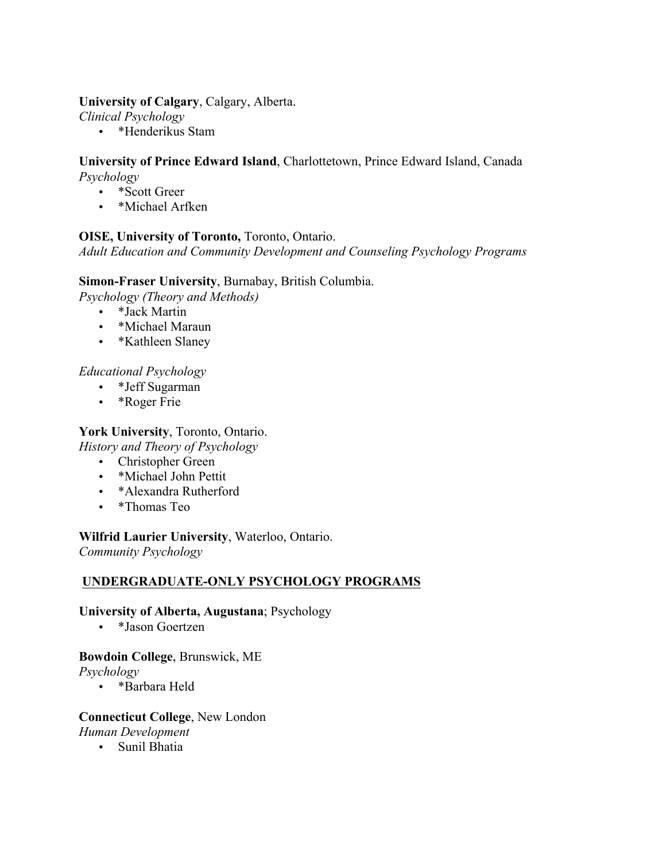### **University of Calgary**, Calgary, Alberta.

*Clinical Psychology*

• \*Henderikus Stam

### **University of Prince Edward Island**, Charlottetown, Prince Edward Island, Canada *Psychology*

- \*Scott Greer
- \*Michael Arfken

## **OISE, University of Toronto,** Toronto, Ontario.

*Adult Education and Community Development and Counseling Psychology Programs*

## **Simon-Fraser University**, Burnabay, British Columbia.

*Psychology (Theory and Methods)*

- \*Jack Martin
- \*Michael Maraun
- \*Kathleen Slaney

## *Educational Psychology*

- \*Jeff Sugarman
- \*Roger Frie

## **York University**, Toronto, Ontario.

*History and Theory of Psychology*

- Christopher Green
- \*Michael John Pettit
- \*Alexandra Rutherford
- \*Thomas Teo

### **Wilfrid Laurier University**, Waterloo, Ontario.

*Community Psychology*

## **UNDERGRADUATE-ONLY PSYCHOLOGY PROGRAMS**

### **University of Alberta, Augustana**; Psychology

• \*Jason Goertzen

## **Bowdoin College**, Brunswick, ME

*Psychology*

• \*Barbara Held

### **Connecticut College**, New London

*Human Development*

• Sunil Bhatia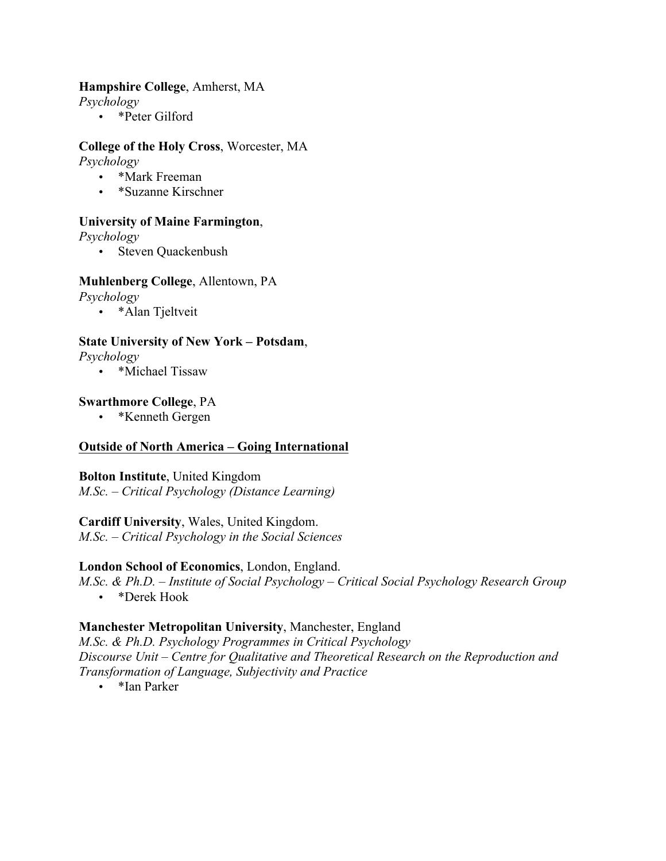### **Hampshire College**, Amherst, MA

*Psychology*

• \*Peter Gilford

# **College of the Holy Cross**, Worcester, MA

*Psychology*

- \*Mark Freeman
- \*Suzanne Kirschner

### **University of Maine Farmington**,

*Psychology*

• Steven Quackenbush

### **Muhlenberg College**, Allentown, PA

*Psychology*

• \* Alan Tieltveit

### **State University of New York – Potsdam**,

*Psychology*

• \*Michael Tissaw

### **Swarthmore College**, PA

• \*Kenneth Gergen

### **Outside of North America – Going International**

**Bolton Institute**, United Kingdom *M.Sc. – Critical Psychology (Distance Learning)*

## **Cardiff University**, Wales, United Kingdom.

*M.Sc. – Critical Psychology in the Social Sciences*

### **London School of Economics**, London, England.

*M.Sc. & Ph.D. – Institute of Social Psychology – Critical Social Psychology Research Group*

• \*Derek Hook

### **Manchester Metropolitan University**, Manchester, England

*M.Sc. & Ph.D. Psychology Programmes in Critical Psychology Discourse Unit – Centre for Qualitative and Theoretical Research on the Reproduction and Transformation of Language, Subjectivity and Practice*

• \*Ian Parker